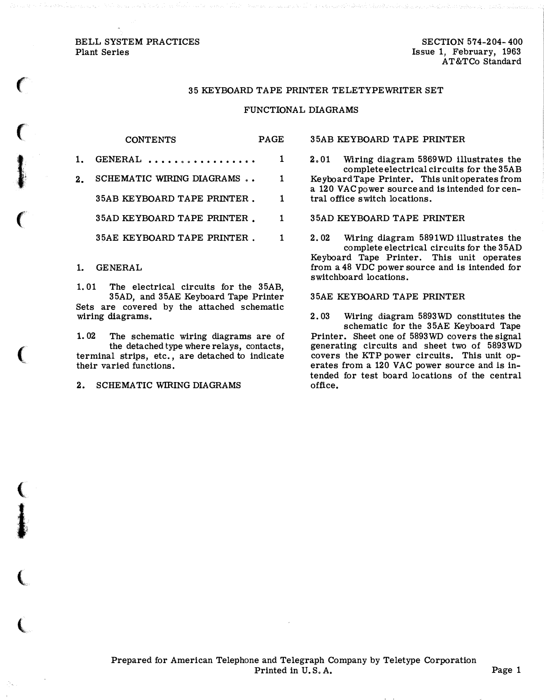### BELL SYSTEM PRACTICES Plant Series

 $\epsilon$ 

 $\big($ 

I·

 $\big($ 

 $\big($ 

 $\big($ 

 $\ddot{\textbf{i}}$ 

(

 $\big($ 

SECTION 574-204-400 Issue 1, February, 1963 AT&TCo Standard

## 35 KEYBOARD TAPE PRINTER TELETYPEWRITER SET

## FUNCTIONAL DIAGRAMS

### CONTENTS PAGE

| 1. GENERAL                   |    |
|------------------------------|----|
| 2. SCHEMATIC WIRING DIAGRAMS | 1. |
| 35AB KEYBOARD TAPE PRINTER.  | 1. |
| 35AD KEYBOARD TAPE PRINTER.  |    |
| 35AE KEYBOARD TAPE PRINTER.  |    |

# 1. GENERAL

1. 01 The electrical circuits for the 35AB, 35AD, and 35AE Keyboard Tape Printer Sets are covered by the attached schematic wiring diagrams.

1. 02 The schematic wiring diagrams are of the detached type where relays, contacts, terminal strips, etc., are detached to indicate their varied functions.

2. SCHEMATIC WIRING DIAGRAMS

35AB KEYBOARD TAPE PRINTER

2. 01 Wiring diagram 5869WD illustrates the complete electrical circuits for the 35AB Keyboard Tape Printer. This unit operates from a 120 VAC power source and is intended for central office switch locations.

35AD KEYBOARD TAPE PRINTER

2.02 Wiring diagram 5891WD illustrates the complete electrical circuits for the 35AD Keyboard Tape Printer. This unit operates from a 48 VDC power source and is intended for switchboard locations.

# 35AE KEYBOARD TAPE PRINTER

2. 03 Wiring diagram 5893WD constitutes the schematic for the 35AE Keyboard Tape Printer. Sheet one of 5893WD covers the signal generating circuits and sheet two of 5893WD covers the KTP power circuits. This unit operates from a 120 VAC power source and is intended for test board locations of the central office.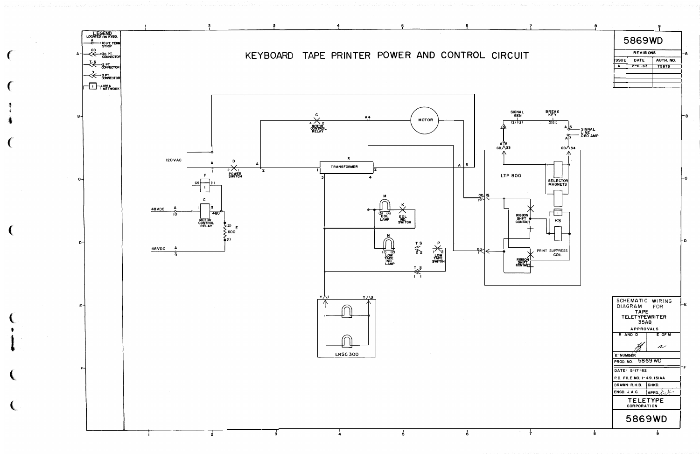

|                  | 5869WD       |           |  |
|------------------|--------------|-----------|--|
| <b>REVISIONS</b> |              |           |  |
| <b>ISSUE</b>     | <b>DATE</b>  | AUTH. NO. |  |
| A                | $2 - 6 - 63$ | 75873     |  |
|                  |              |           |  |
|                  |              |           |  |
|                  |              |           |  |

e.

⊢c ∣

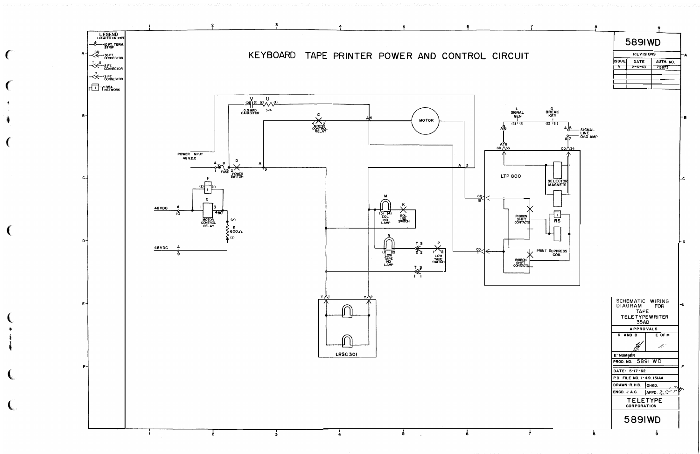

589IWD

| <b>REVISIONS</b> |              |           |  |
|------------------|--------------|-----------|--|
| <b>I</b> ISSUE   | DATE         | AUTH. NO. |  |
| A                | $2 - 6 - 63$ | 75873     |  |
|                  |              |           |  |
|                  |              |           |  |
|                  |              |           |  |
|                  |              |           |  |

-в

-c

⊢p.

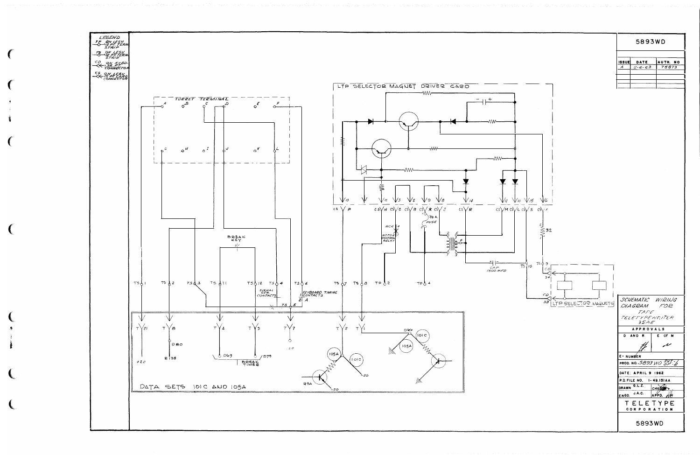